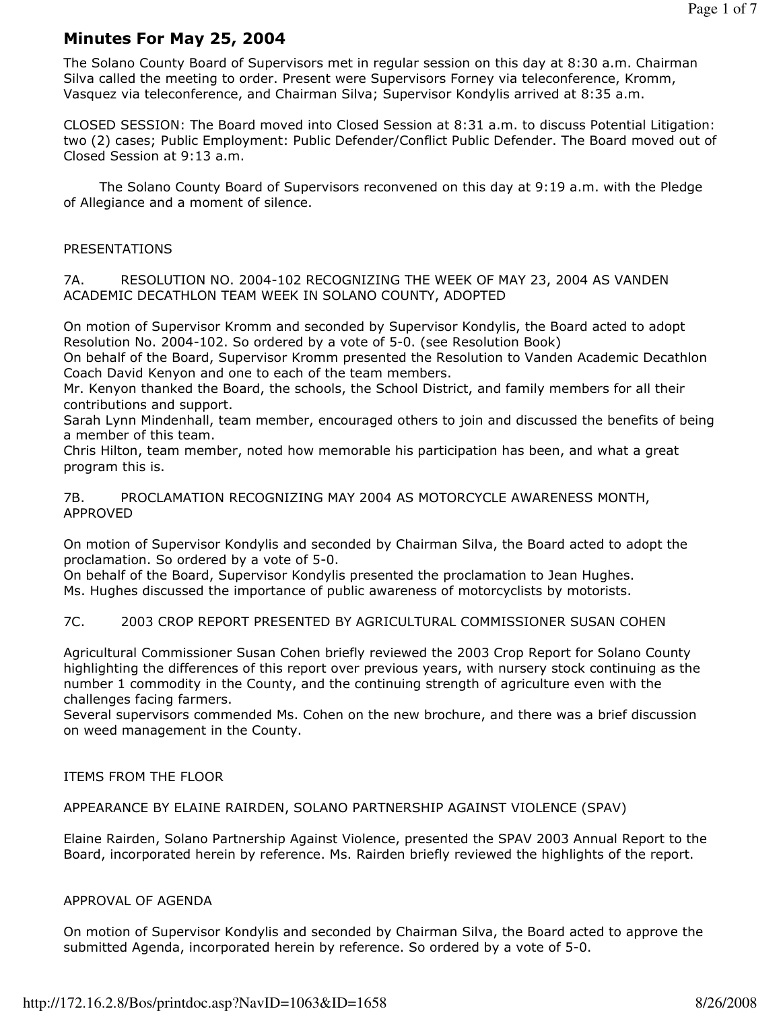# Minutes For May 25, 2004

The Solano County Board of Supervisors met in regular session on this day at 8:30 a.m. Chairman Silva called the meeting to order. Present were Supervisors Forney via teleconference, Kromm, Vasquez via teleconference, and Chairman Silva; Supervisor Kondylis arrived at 8:35 a.m.

CLOSED SESSION: The Board moved into Closed Session at 8:31 a.m. to discuss Potential Litigation: two (2) cases; Public Employment: Public Defender/Conflict Public Defender. The Board moved out of Closed Session at 9:13 a.m.

 The Solano County Board of Supervisors reconvened on this day at 9:19 a.m. with the Pledge of Allegiance and a moment of silence.

# PRESENTATIONS

7A. RESOLUTION NO. 2004-102 RECOGNIZING THE WEEK OF MAY 23, 2004 AS VANDEN ACADEMIC DECATHLON TEAM WEEK IN SOLANO COUNTY, ADOPTED

On motion of Supervisor Kromm and seconded by Supervisor Kondylis, the Board acted to adopt Resolution No. 2004-102. So ordered by a vote of 5-0. (see Resolution Book)

On behalf of the Board, Supervisor Kromm presented the Resolution to Vanden Academic Decathlon Coach David Kenyon and one to each of the team members.

Mr. Kenyon thanked the Board, the schools, the School District, and family members for all their contributions and support.

Sarah Lynn Mindenhall, team member, encouraged others to join and discussed the benefits of being a member of this team.

Chris Hilton, team member, noted how memorable his participation has been, and what a great program this is.

7B. PROCLAMATION RECOGNIZING MAY 2004 AS MOTORCYCLE AWARENESS MONTH, APPROVED

On motion of Supervisor Kondylis and seconded by Chairman Silva, the Board acted to adopt the proclamation. So ordered by a vote of 5-0.

On behalf of the Board, Supervisor Kondylis presented the proclamation to Jean Hughes. Ms. Hughes discussed the importance of public awareness of motorcyclists by motorists.

7C. 2003 CROP REPORT PRESENTED BY AGRICULTURAL COMMISSIONER SUSAN COHEN

Agricultural Commissioner Susan Cohen briefly reviewed the 2003 Crop Report for Solano County highlighting the differences of this report over previous years, with nursery stock continuing as the number 1 commodity in the County, and the continuing strength of agriculture even with the challenges facing farmers.

Several supervisors commended Ms. Cohen on the new brochure, and there was a brief discussion on weed management in the County.

# ITEMS FROM THE FLOOR

# APPEARANCE BY ELAINE RAIRDEN, SOLANO PARTNERSHIP AGAINST VIOLENCE (SPAV)

Elaine Rairden, Solano Partnership Against Violence, presented the SPAV 2003 Annual Report to the Board, incorporated herein by reference. Ms. Rairden briefly reviewed the highlights of the report.

#### APPROVAL OF AGENDA

On motion of Supervisor Kondylis and seconded by Chairman Silva, the Board acted to approve the submitted Agenda, incorporated herein by reference. So ordered by a vote of 5-0.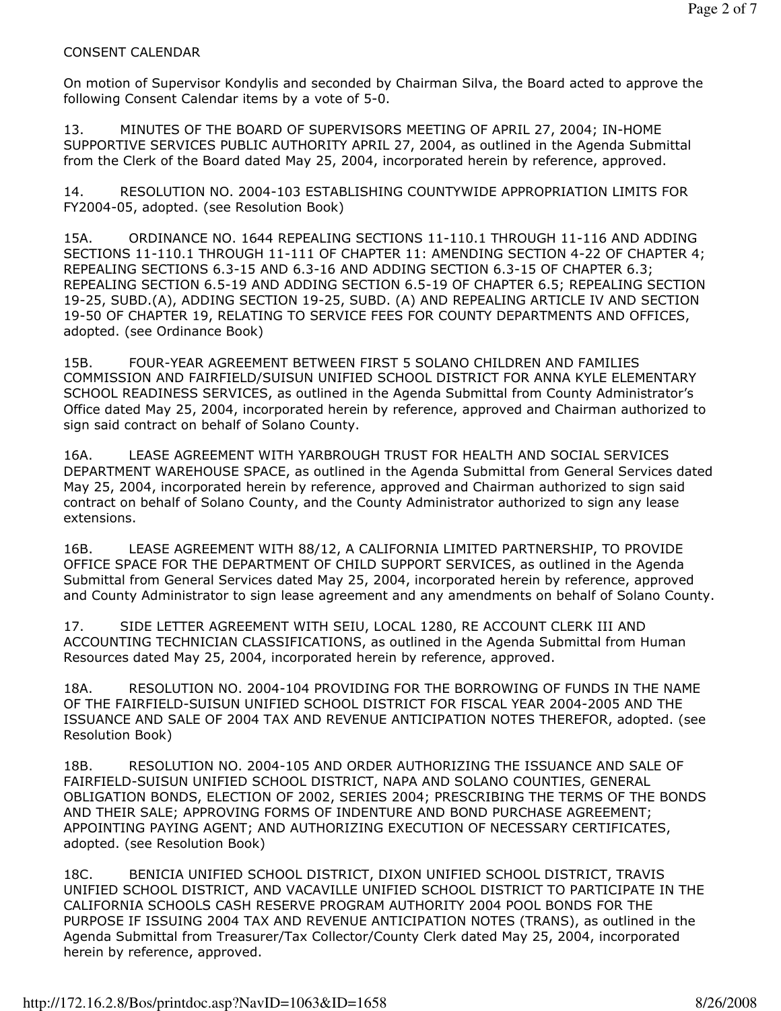# CONSENT CALENDAR

On motion of Supervisor Kondylis and seconded by Chairman Silva, the Board acted to approve the following Consent Calendar items by a vote of 5-0.

13. MINUTES OF THE BOARD OF SUPERVISORS MEETING OF APRIL 27, 2004; IN-HOME SUPPORTIVE SERVICES PUBLIC AUTHORITY APRIL 27, 2004, as outlined in the Agenda Submittal from the Clerk of the Board dated May 25, 2004, incorporated herein by reference, approved.

14. RESOLUTION NO. 2004-103 ESTABLISHING COUNTYWIDE APPROPRIATION LIMITS FOR FY2004-05, adopted. (see Resolution Book)

15A. ORDINANCE NO. 1644 REPEALING SECTIONS 11-110.1 THROUGH 11-116 AND ADDING SECTIONS 11-110.1 THROUGH 11-111 OF CHAPTER 11: AMENDING SECTION 4-22 OF CHAPTER 4; REPEALING SECTIONS 6.3-15 AND 6.3-16 AND ADDING SECTION 6.3-15 OF CHAPTER 6.3; REPEALING SECTION 6.5-19 AND ADDING SECTION 6.5-19 OF CHAPTER 6.5; REPEALING SECTION 19-25, SUBD.(A), ADDING SECTION 19-25, SUBD. (A) AND REPEALING ARTICLE IV AND SECTION 19-50 OF CHAPTER 19, RELATING TO SERVICE FEES FOR COUNTY DEPARTMENTS AND OFFICES, adopted. (see Ordinance Book)

15B. FOUR-YEAR AGREEMENT BETWEEN FIRST 5 SOLANO CHILDREN AND FAMILIES COMMISSION AND FAIRFIELD/SUISUN UNIFIED SCHOOL DISTRICT FOR ANNA KYLE ELEMENTARY SCHOOL READINESS SERVICES, as outlined in the Agenda Submittal from County Administrator's Office dated May 25, 2004, incorporated herein by reference, approved and Chairman authorized to sign said contract on behalf of Solano County.

16A. LEASE AGREEMENT WITH YARBROUGH TRUST FOR HEALTH AND SOCIAL SERVICES DEPARTMENT WAREHOUSE SPACE, as outlined in the Agenda Submittal from General Services dated May 25, 2004, incorporated herein by reference, approved and Chairman authorized to sign said contract on behalf of Solano County, and the County Administrator authorized to sign any lease extensions.

16B. LEASE AGREEMENT WITH 88/12, A CALIFORNIA LIMITED PARTNERSHIP, TO PROVIDE OFFICE SPACE FOR THE DEPARTMENT OF CHILD SUPPORT SERVICES, as outlined in the Agenda Submittal from General Services dated May 25, 2004, incorporated herein by reference, approved and County Administrator to sign lease agreement and any amendments on behalf of Solano County.

17. SIDE LETTER AGREEMENT WITH SEIU, LOCAL 1280, RE ACCOUNT CLERK III AND ACCOUNTING TECHNICIAN CLASSIFICATIONS, as outlined in the Agenda Submittal from Human Resources dated May 25, 2004, incorporated herein by reference, approved.

18A. RESOLUTION NO. 2004-104 PROVIDING FOR THE BORROWING OF FUNDS IN THE NAME OF THE FAIRFIELD-SUISUN UNIFIED SCHOOL DISTRICT FOR FISCAL YEAR 2004-2005 AND THE ISSUANCE AND SALE OF 2004 TAX AND REVENUE ANTICIPATION NOTES THEREFOR, adopted. (see Resolution Book)

18B. RESOLUTION NO. 2004-105 AND ORDER AUTHORIZING THE ISSUANCE AND SALE OF FAIRFIELD-SUISUN UNIFIED SCHOOL DISTRICT, NAPA AND SOLANO COUNTIES, GENERAL OBLIGATION BONDS, ELECTION OF 2002, SERIES 2004; PRESCRIBING THE TERMS OF THE BONDS AND THEIR SALE; APPROVING FORMS OF INDENTURE AND BOND PURCHASE AGREEMENT; APPOINTING PAYING AGENT; AND AUTHORIZING EXECUTION OF NECESSARY CERTIFICATES, adopted. (see Resolution Book)

18C. BENICIA UNIFIED SCHOOL DISTRICT, DIXON UNIFIED SCHOOL DISTRICT, TRAVIS UNIFIED SCHOOL DISTRICT, AND VACAVILLE UNIFIED SCHOOL DISTRICT TO PARTICIPATE IN THE CALIFORNIA SCHOOLS CASH RESERVE PROGRAM AUTHORITY 2004 POOL BONDS FOR THE PURPOSE IF ISSUING 2004 TAX AND REVENUE ANTICIPATION NOTES (TRANS), as outlined in the Agenda Submittal from Treasurer/Tax Collector/County Clerk dated May 25, 2004, incorporated herein by reference, approved.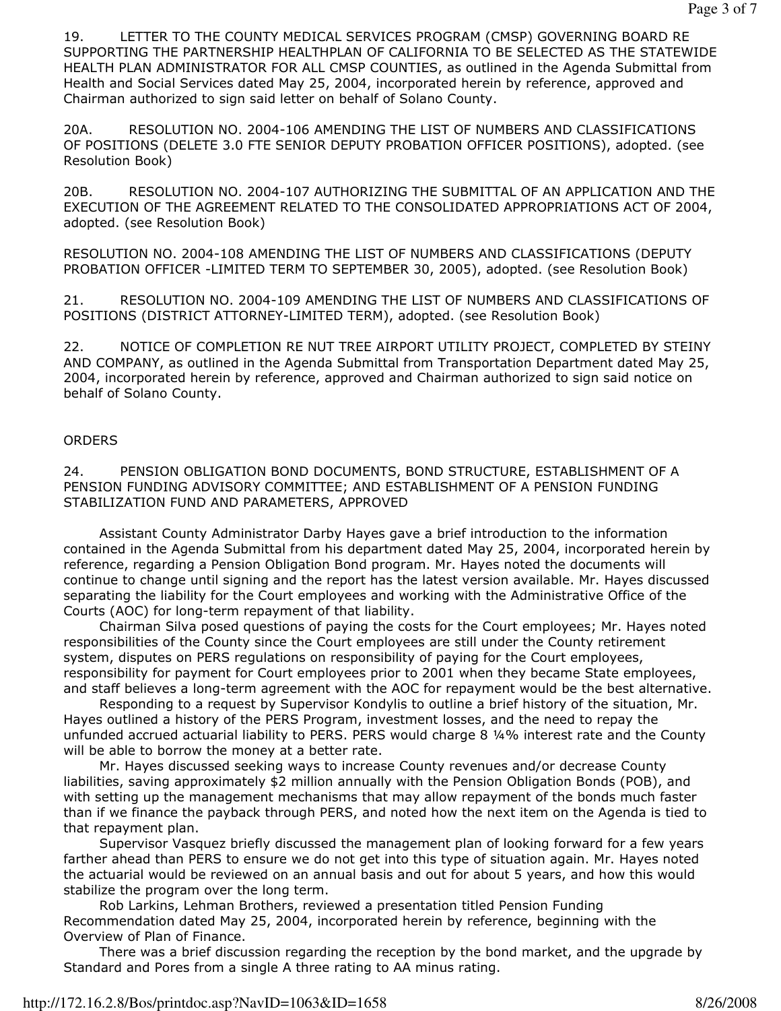19. LETTER TO THE COUNTY MEDICAL SERVICES PROGRAM (CMSP) GOVERNING BOARD RE SUPPORTING THE PARTNERSHIP HEALTHPLAN OF CALIFORNIA TO BE SELECTED AS THE STATEWIDE HEALTH PLAN ADMINISTRATOR FOR ALL CMSP COUNTIES, as outlined in the Agenda Submittal from Health and Social Services dated May 25, 2004, incorporated herein by reference, approved and Chairman authorized to sign said letter on behalf of Solano County.

20A. RESOLUTION NO. 2004-106 AMENDING THE LIST OF NUMBERS AND CLASSIFICATIONS OF POSITIONS (DELETE 3.0 FTE SENIOR DEPUTY PROBATION OFFICER POSITIONS), adopted. (see Resolution Book)

20B. RESOLUTION NO. 2004-107 AUTHORIZING THE SUBMITTAL OF AN APPLICATION AND THE EXECUTION OF THE AGREEMENT RELATED TO THE CONSOLIDATED APPROPRIATIONS ACT OF 2004, adopted. (see Resolution Book)

RESOLUTION NO. 2004-108 AMENDING THE LIST OF NUMBERS AND CLASSIFICATIONS (DEPUTY PROBATION OFFICER -LIMITED TERM TO SEPTEMBER 30, 2005), adopted. (see Resolution Book)

21. RESOLUTION NO. 2004-109 AMENDING THE LIST OF NUMBERS AND CLASSIFICATIONS OF POSITIONS (DISTRICT ATTORNEY-LIMITED TERM), adopted. (see Resolution Book)

22. NOTICE OF COMPLETION RE NUT TREE AIRPORT UTILITY PROJECT, COMPLETED BY STEINY AND COMPANY, as outlined in the Agenda Submittal from Transportation Department dated May 25, 2004, incorporated herein by reference, approved and Chairman authorized to sign said notice on behalf of Solano County.

# **ORDERS**

24. PENSION OBLIGATION BOND DOCUMENTS, BOND STRUCTURE, ESTABLISHMENT OF A PENSION FUNDING ADVISORY COMMITTEE; AND ESTABLISHMENT OF A PENSION FUNDING STABILIZATION FUND AND PARAMETERS, APPROVED

 Assistant County Administrator Darby Hayes gave a brief introduction to the information contained in the Agenda Submittal from his department dated May 25, 2004, incorporated herein by reference, regarding a Pension Obligation Bond program. Mr. Hayes noted the documents will continue to change until signing and the report has the latest version available. Mr. Hayes discussed separating the liability for the Court employees and working with the Administrative Office of the Courts (AOC) for long-term repayment of that liability.

 Chairman Silva posed questions of paying the costs for the Court employees; Mr. Hayes noted responsibilities of the County since the Court employees are still under the County retirement system, disputes on PERS regulations on responsibility of paying for the Court employees, responsibility for payment for Court employees prior to 2001 when they became State employees, and staff believes a long-term agreement with the AOC for repayment would be the best alternative.

 Responding to a request by Supervisor Kondylis to outline a brief history of the situation, Mr. Hayes outlined a history of the PERS Program, investment losses, and the need to repay the unfunded accrued actuarial liability to PERS. PERS would charge 8 ¼% interest rate and the County will be able to borrow the money at a better rate.

 Mr. Hayes discussed seeking ways to increase County revenues and/or decrease County liabilities, saving approximately \$2 million annually with the Pension Obligation Bonds (POB), and with setting up the management mechanisms that may allow repayment of the bonds much faster than if we finance the payback through PERS, and noted how the next item on the Agenda is tied to that repayment plan.

 Supervisor Vasquez briefly discussed the management plan of looking forward for a few years farther ahead than PERS to ensure we do not get into this type of situation again. Mr. Hayes noted the actuarial would be reviewed on an annual basis and out for about 5 years, and how this would stabilize the program over the long term.

 Rob Larkins, Lehman Brothers, reviewed a presentation titled Pension Funding Recommendation dated May 25, 2004, incorporated herein by reference, beginning with the Overview of Plan of Finance.

 There was a brief discussion regarding the reception by the bond market, and the upgrade by Standard and Pores from a single A three rating to AA minus rating.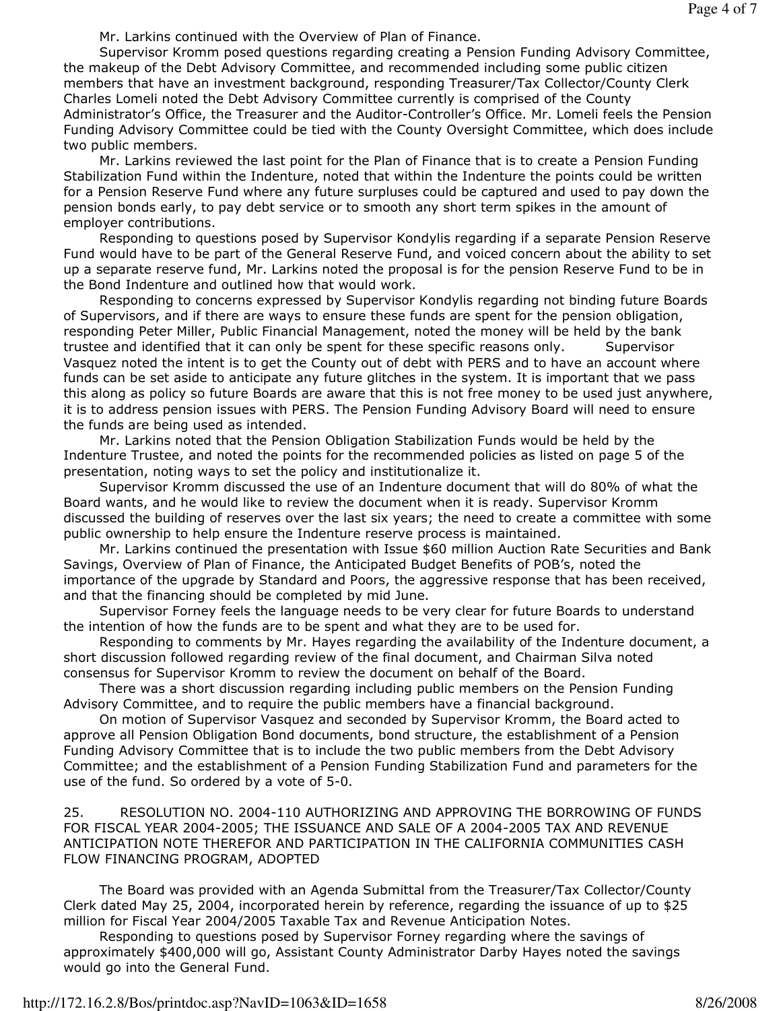Mr. Larkins continued with the Overview of Plan of Finance.

 Supervisor Kromm posed questions regarding creating a Pension Funding Advisory Committee, the makeup of the Debt Advisory Committee, and recommended including some public citizen members that have an investment background, responding Treasurer/Tax Collector/County Clerk Charles Lomeli noted the Debt Advisory Committee currently is comprised of the County Administrator's Office, the Treasurer and the Auditor-Controller's Office. Mr. Lomeli feels the Pension Funding Advisory Committee could be tied with the County Oversight Committee, which does include two public members.

 Mr. Larkins reviewed the last point for the Plan of Finance that is to create a Pension Funding Stabilization Fund within the Indenture, noted that within the Indenture the points could be written for a Pension Reserve Fund where any future surpluses could be captured and used to pay down the pension bonds early, to pay debt service or to smooth any short term spikes in the amount of employer contributions.

 Responding to questions posed by Supervisor Kondylis regarding if a separate Pension Reserve Fund would have to be part of the General Reserve Fund, and voiced concern about the ability to set up a separate reserve fund, Mr. Larkins noted the proposal is for the pension Reserve Fund to be in the Bond Indenture and outlined how that would work.

 Responding to concerns expressed by Supervisor Kondylis regarding not binding future Boards of Supervisors, and if there are ways to ensure these funds are spent for the pension obligation, responding Peter Miller, Public Financial Management, noted the money will be held by the bank trustee and identified that it can only be spent for these specific reasons only. Supervisor Vasquez noted the intent is to get the County out of debt with PERS and to have an account where funds can be set aside to anticipate any future glitches in the system. It is important that we pass this along as policy so future Boards are aware that this is not free money to be used just anywhere, it is to address pension issues with PERS. The Pension Funding Advisory Board will need to ensure the funds are being used as intended.

 Mr. Larkins noted that the Pension Obligation Stabilization Funds would be held by the Indenture Trustee, and noted the points for the recommended policies as listed on page 5 of the presentation, noting ways to set the policy and institutionalize it.

 Supervisor Kromm discussed the use of an Indenture document that will do 80% of what the Board wants, and he would like to review the document when it is ready. Supervisor Kromm discussed the building of reserves over the last six years; the need to create a committee with some public ownership to help ensure the Indenture reserve process is maintained.

 Mr. Larkins continued the presentation with Issue \$60 million Auction Rate Securities and Bank Savings, Overview of Plan of Finance, the Anticipated Budget Benefits of POB's, noted the importance of the upgrade by Standard and Poors, the aggressive response that has been received, and that the financing should be completed by mid June.

 Supervisor Forney feels the language needs to be very clear for future Boards to understand the intention of how the funds are to be spent and what they are to be used for.

 Responding to comments by Mr. Hayes regarding the availability of the Indenture document, a short discussion followed regarding review of the final document, and Chairman Silva noted consensus for Supervisor Kromm to review the document on behalf of the Board.

 There was a short discussion regarding including public members on the Pension Funding Advisory Committee, and to require the public members have a financial background.

 On motion of Supervisor Vasquez and seconded by Supervisor Kromm, the Board acted to approve all Pension Obligation Bond documents, bond structure, the establishment of a Pension Funding Advisory Committee that is to include the two public members from the Debt Advisory Committee; and the establishment of a Pension Funding Stabilization Fund and parameters for the use of the fund. So ordered by a vote of 5-0.

25. RESOLUTION NO. 2004-110 AUTHORIZING AND APPROVING THE BORROWING OF FUNDS FOR FISCAL YEAR 2004-2005; THE ISSUANCE AND SALE OF A 2004-2005 TAX AND REVENUE ANTICIPATION NOTE THEREFOR AND PARTICIPATION IN THE CALIFORNIA COMMUNITIES CASH FLOW FINANCING PROGRAM, ADOPTED

 The Board was provided with an Agenda Submittal from the Treasurer/Tax Collector/County Clerk dated May 25, 2004, incorporated herein by reference, regarding the issuance of up to \$25 million for Fiscal Year 2004/2005 Taxable Tax and Revenue Anticipation Notes.

 Responding to questions posed by Supervisor Forney regarding where the savings of approximately \$400,000 will go, Assistant County Administrator Darby Hayes noted the savings would go into the General Fund.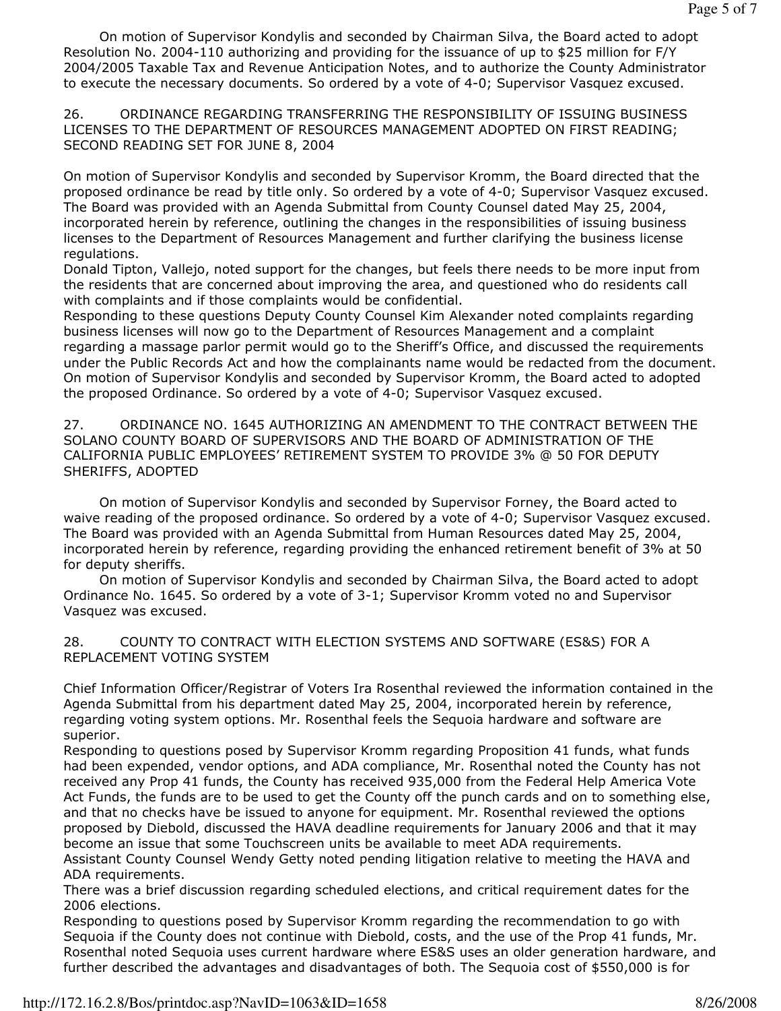On motion of Supervisor Kondylis and seconded by Chairman Silva, the Board acted to adopt Resolution No. 2004-110 authorizing and providing for the issuance of up to \$25 million for F/Y 2004/2005 Taxable Tax and Revenue Anticipation Notes, and to authorize the County Administrator to execute the necessary documents. So ordered by a vote of 4-0; Supervisor Vasquez excused.

26. ORDINANCE REGARDING TRANSFERRING THE RESPONSIBILITY OF ISSUING BUSINESS LICENSES TO THE DEPARTMENT OF RESOURCES MANAGEMENT ADOPTED ON FIRST READING; SECOND READING SET FOR JUNE 8, 2004

On motion of Supervisor Kondylis and seconded by Supervisor Kromm, the Board directed that the proposed ordinance be read by title only. So ordered by a vote of 4-0; Supervisor Vasquez excused. The Board was provided with an Agenda Submittal from County Counsel dated May 25, 2004, incorporated herein by reference, outlining the changes in the responsibilities of issuing business licenses to the Department of Resources Management and further clarifying the business license regulations.

Donald Tipton, Vallejo, noted support for the changes, but feels there needs to be more input from the residents that are concerned about improving the area, and questioned who do residents call with complaints and if those complaints would be confidential.

Responding to these questions Deputy County Counsel Kim Alexander noted complaints regarding business licenses will now go to the Department of Resources Management and a complaint regarding a massage parlor permit would go to the Sheriff's Office, and discussed the requirements under the Public Records Act and how the complainants name would be redacted from the document. On motion of Supervisor Kondylis and seconded by Supervisor Kromm, the Board acted to adopted the proposed Ordinance. So ordered by a vote of 4-0; Supervisor Vasquez excused.

27. ORDINANCE NO. 1645 AUTHORIZING AN AMENDMENT TO THE CONTRACT BETWEEN THE SOLANO COUNTY BOARD OF SUPERVISORS AND THE BOARD OF ADMINISTRATION OF THE CALIFORNIA PUBLIC EMPLOYEES' RETIREMENT SYSTEM TO PROVIDE 3% @ 50 FOR DEPUTY SHERIFFS, ADOPTED

 On motion of Supervisor Kondylis and seconded by Supervisor Forney, the Board acted to waive reading of the proposed ordinance. So ordered by a vote of 4-0; Supervisor Vasquez excused. The Board was provided with an Agenda Submittal from Human Resources dated May 25, 2004, incorporated herein by reference, regarding providing the enhanced retirement benefit of 3% at 50 for deputy sheriffs.

 On motion of Supervisor Kondylis and seconded by Chairman Silva, the Board acted to adopt Ordinance No. 1645. So ordered by a vote of 3-1; Supervisor Kromm voted no and Supervisor Vasquez was excused.

# 28. COUNTY TO CONTRACT WITH ELECTION SYSTEMS AND SOFTWARE (ES&S) FOR A REPLACEMENT VOTING SYSTEM

Chief Information Officer/Registrar of Voters Ira Rosenthal reviewed the information contained in the Agenda Submittal from his department dated May 25, 2004, incorporated herein by reference, regarding voting system options. Mr. Rosenthal feels the Sequoia hardware and software are superior.

Responding to questions posed by Supervisor Kromm regarding Proposition 41 funds, what funds had been expended, vendor options, and ADA compliance, Mr. Rosenthal noted the County has not received any Prop 41 funds, the County has received 935,000 from the Federal Help America Vote Act Funds, the funds are to be used to get the County off the punch cards and on to something else, and that no checks have be issued to anyone for equipment. Mr. Rosenthal reviewed the options proposed by Diebold, discussed the HAVA deadline requirements for January 2006 and that it may become an issue that some Touchscreen units be available to meet ADA requirements. Assistant County Counsel Wendy Getty noted pending litigation relative to meeting the HAVA and ADA requirements.

There was a brief discussion regarding scheduled elections, and critical requirement dates for the 2006 elections.

Responding to questions posed by Supervisor Kromm regarding the recommendation to go with Sequoia if the County does not continue with Diebold, costs, and the use of the Prop 41 funds, Mr. Rosenthal noted Sequoia uses current hardware where ES&S uses an older generation hardware, and further described the advantages and disadvantages of both. The Sequoia cost of \$550,000 is for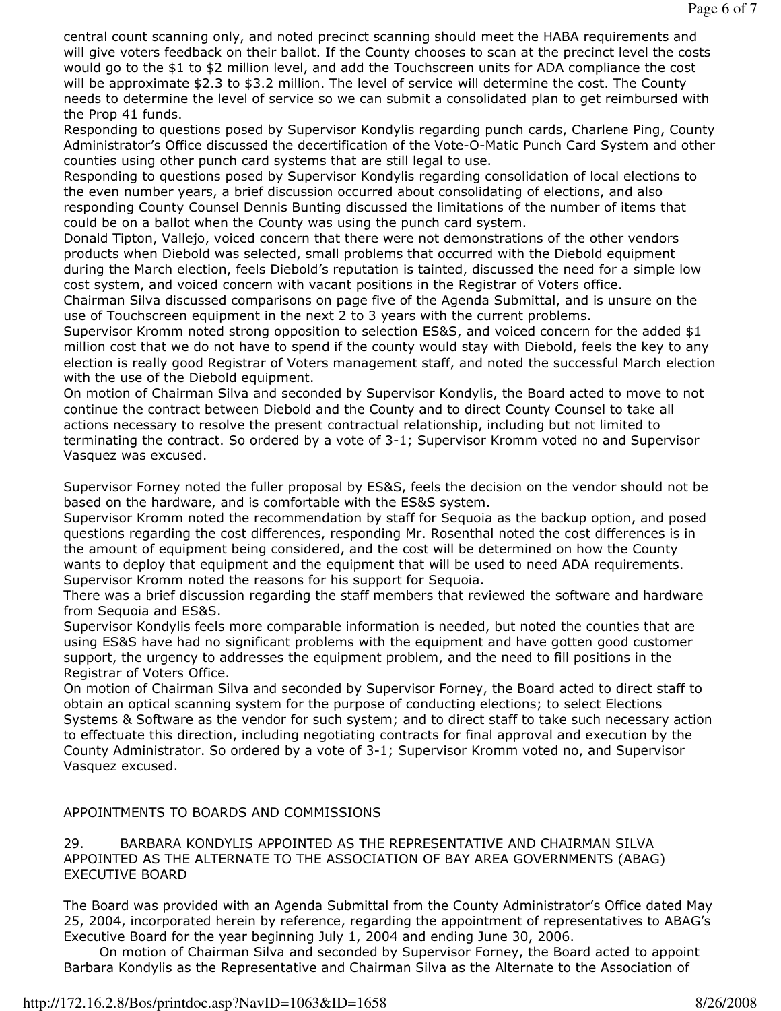central count scanning only, and noted precinct scanning should meet the HABA requirements and will give voters feedback on their ballot. If the County chooses to scan at the precinct level the costs would go to the \$1 to \$2 million level, and add the Touchscreen units for ADA compliance the cost will be approximate \$2.3 to \$3.2 million. The level of service will determine the cost. The County needs to determine the level of service so we can submit a consolidated plan to get reimbursed with the Prop 41 funds.

Responding to questions posed by Supervisor Kondylis regarding punch cards, Charlene Ping, County Administrator's Office discussed the decertification of the Vote-O-Matic Punch Card System and other counties using other punch card systems that are still legal to use.

Responding to questions posed by Supervisor Kondylis regarding consolidation of local elections to the even number years, a brief discussion occurred about consolidating of elections, and also responding County Counsel Dennis Bunting discussed the limitations of the number of items that could be on a ballot when the County was using the punch card system.

Donald Tipton, Vallejo, voiced concern that there were not demonstrations of the other vendors products when Diebold was selected, small problems that occurred with the Diebold equipment during the March election, feels Diebold's reputation is tainted, discussed the need for a simple low cost system, and voiced concern with vacant positions in the Registrar of Voters office.

Chairman Silva discussed comparisons on page five of the Agenda Submittal, and is unsure on the use of Touchscreen equipment in the next 2 to 3 years with the current problems.

Supervisor Kromm noted strong opposition to selection ES&S, and voiced concern for the added \$1 million cost that we do not have to spend if the county would stay with Diebold, feels the key to any election is really good Registrar of Voters management staff, and noted the successful March election with the use of the Diebold equipment.

On motion of Chairman Silva and seconded by Supervisor Kondylis, the Board acted to move to not continue the contract between Diebold and the County and to direct County Counsel to take all actions necessary to resolve the present contractual relationship, including but not limited to terminating the contract. So ordered by a vote of 3-1; Supervisor Kromm voted no and Supervisor Vasquez was excused.

Supervisor Forney noted the fuller proposal by ES&S, feels the decision on the vendor should not be based on the hardware, and is comfortable with the ES&S system.

Supervisor Kromm noted the recommendation by staff for Sequoia as the backup option, and posed questions regarding the cost differences, responding Mr. Rosenthal noted the cost differences is in the amount of equipment being considered, and the cost will be determined on how the County wants to deploy that equipment and the equipment that will be used to need ADA requirements. Supervisor Kromm noted the reasons for his support for Sequoia.

There was a brief discussion regarding the staff members that reviewed the software and hardware from Sequoia and ES&S.

Supervisor Kondylis feels more comparable information is needed, but noted the counties that are using ES&S have had no significant problems with the equipment and have gotten good customer support, the urgency to addresses the equipment problem, and the need to fill positions in the Registrar of Voters Office.

On motion of Chairman Silva and seconded by Supervisor Forney, the Board acted to direct staff to obtain an optical scanning system for the purpose of conducting elections; to select Elections Systems & Software as the vendor for such system; and to direct staff to take such necessary action to effectuate this direction, including negotiating contracts for final approval and execution by the County Administrator. So ordered by a vote of 3-1; Supervisor Kromm voted no, and Supervisor Vasquez excused.

# APPOINTMENTS TO BOARDS AND COMMISSIONS

29. BARBARA KONDYLIS APPOINTED AS THE REPRESENTATIVE AND CHAIRMAN SILVA APPOINTED AS THE ALTERNATE TO THE ASSOCIATION OF BAY AREA GOVERNMENTS (ABAG) EXECUTIVE BOARD

The Board was provided with an Agenda Submittal from the County Administrator's Office dated May 25, 2004, incorporated herein by reference, regarding the appointment of representatives to ABAG's Executive Board for the year beginning July 1, 2004 and ending June 30, 2006.

 On motion of Chairman Silva and seconded by Supervisor Forney, the Board acted to appoint Barbara Kondylis as the Representative and Chairman Silva as the Alternate to the Association of